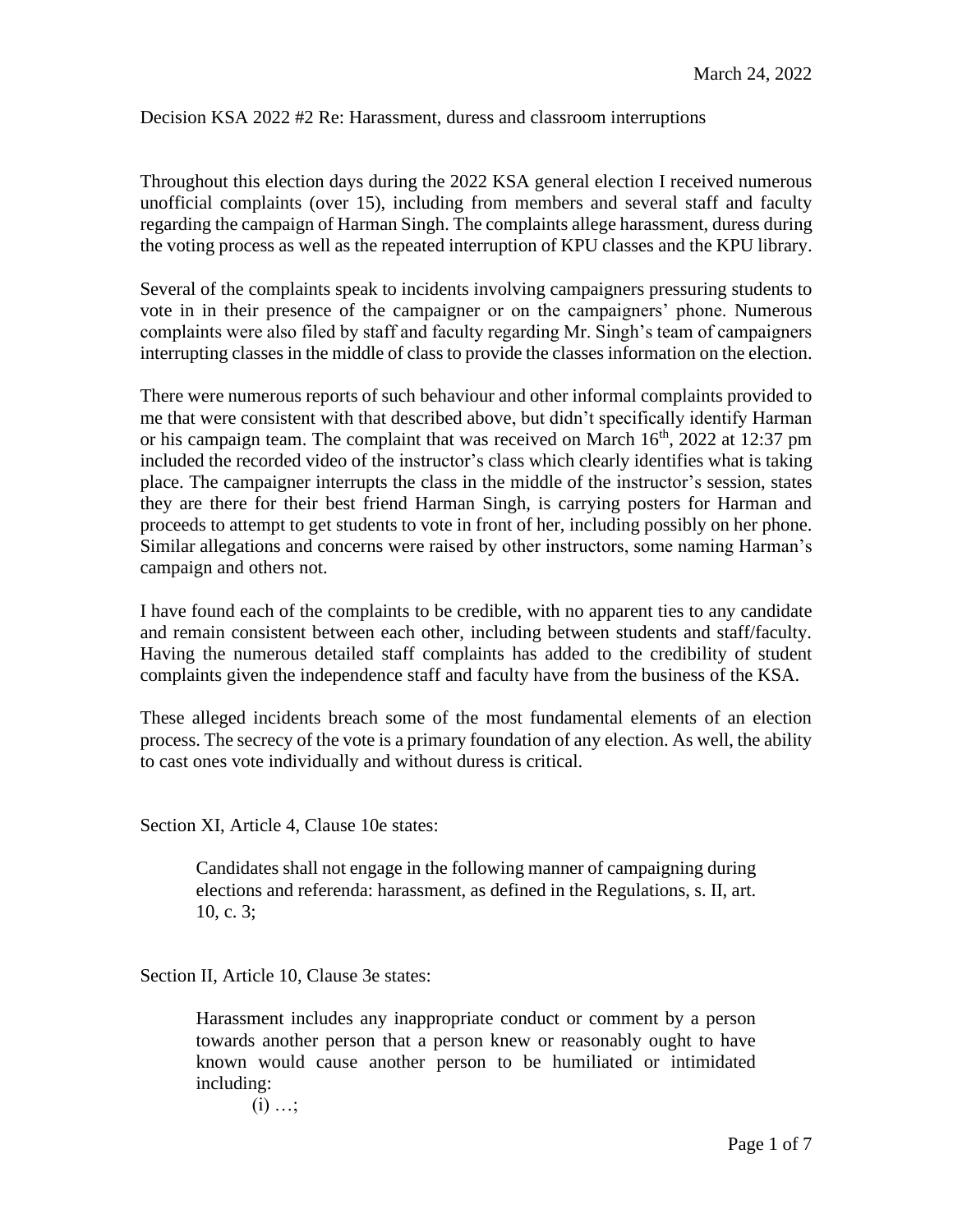Decision KSA 2022 #2 Re: Harassment, duress and classroom interruptions

Throughout this election days during the 2022 KSA general election I received numerous unofficial complaints (over 15), including from members and several staff and faculty regarding the campaign of Harman Singh. The complaints allege harassment, duress during the voting process as well as the repeated interruption of KPU classes and the KPU library.

Several of the complaints speak to incidents involving campaigners pressuring students to vote in in their presence of the campaigner or on the campaigners' phone. Numerous complaints were also filed by staff and faculty regarding Mr. Singh's team of campaigners interrupting classes in the middle of class to provide the classes information on the election.

There were numerous reports of such behaviour and other informal complaints provided to me that were consistent with that described above, but didn't specifically identify Harman or his campaign team. The complaint that was received on March  $16<sup>th</sup>$ , 2022 at 12:37 pm included the recorded video of the instructor's class which clearly identifies what is taking place. The campaigner interrupts the class in the middle of the instructor's session, states they are there for their best friend Harman Singh, is carrying posters for Harman and proceeds to attempt to get students to vote in front of her, including possibly on her phone. Similar allegations and concerns were raised by other instructors, some naming Harman's campaign and others not.

I have found each of the complaints to be credible, with no apparent ties to any candidate and remain consistent between each other, including between students and staff/faculty. Having the numerous detailed staff complaints has added to the credibility of student complaints given the independence staff and faculty have from the business of the KSA.

These alleged incidents breach some of the most fundamental elements of an election process. The secrecy of the vote is a primary foundation of any election. As well, the ability to cast ones vote individually and without duress is critical.

Section XI, Article 4, Clause 10e states:

Candidates shall not engage in the following manner of campaigning during elections and referenda: harassment, as defined in the Regulations, s. II, art. 10, c. 3;

Section II, Article 10, Clause 3e states:

Harassment includes any inappropriate conduct or comment by a person towards another person that a person knew or reasonably ought to have known would cause another person to be humiliated or intimidated including:

 $(i)$  ...;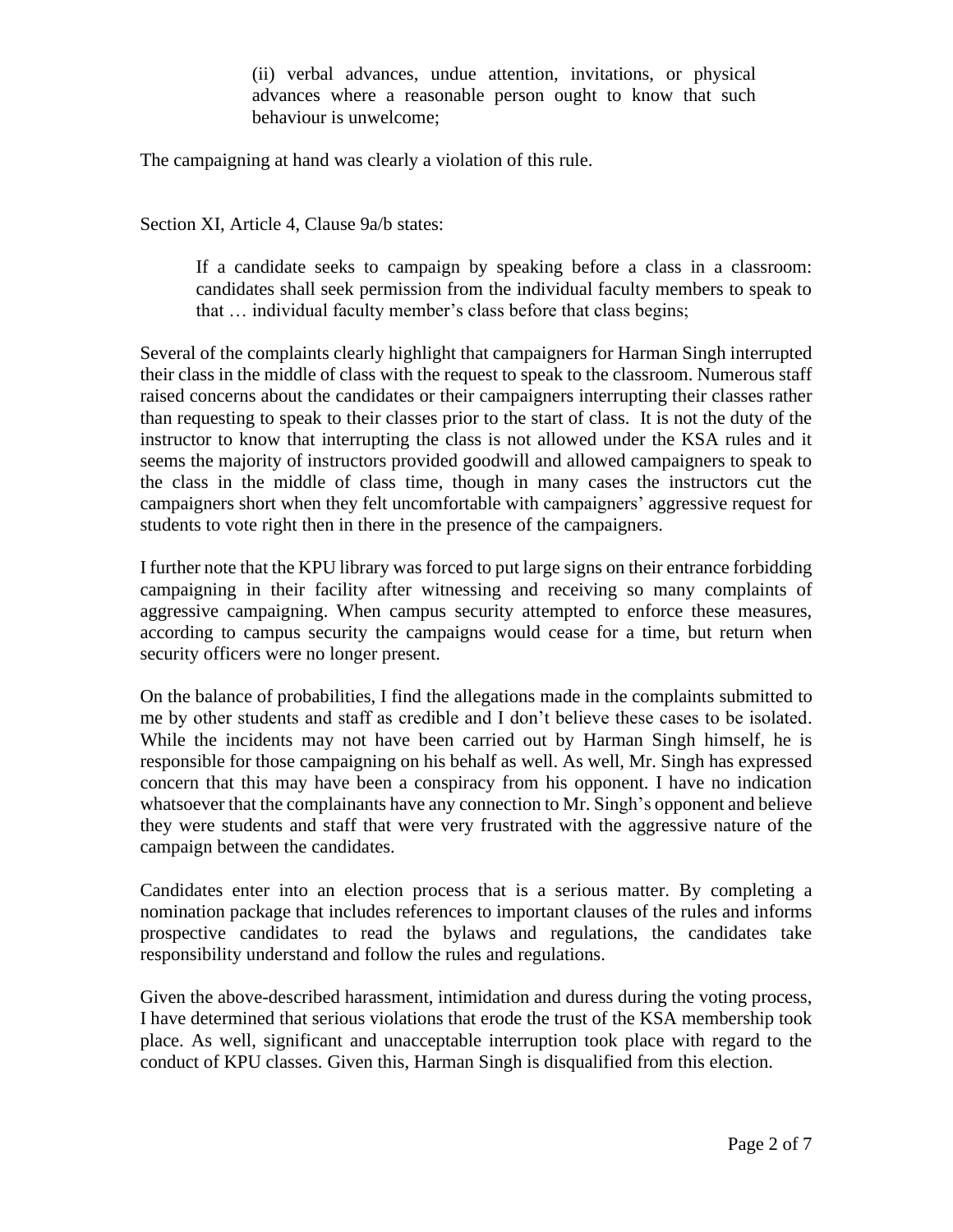(ii) verbal advances, undue attention, invitations, or physical advances where a reasonable person ought to know that such behaviour is unwelcome;

The campaigning at hand was clearly a violation of this rule.

Section XI, Article 4, Clause 9a/b states:

If a candidate seeks to campaign by speaking before a class in a classroom: candidates shall seek permission from the individual faculty members to speak to that … individual faculty member's class before that class begins;

Several of the complaints clearly highlight that campaigners for Harman Singh interrupted their class in the middle of class with the request to speak to the classroom. Numerous staff raised concerns about the candidates or their campaigners interrupting their classes rather than requesting to speak to their classes prior to the start of class. It is not the duty of the instructor to know that interrupting the class is not allowed under the KSA rules and it seems the majority of instructors provided goodwill and allowed campaigners to speak to the class in the middle of class time, though in many cases the instructors cut the campaigners short when they felt uncomfortable with campaigners' aggressive request for students to vote right then in there in the presence of the campaigners.

I further note that the KPU library was forced to put large signs on their entrance forbidding campaigning in their facility after witnessing and receiving so many complaints of aggressive campaigning. When campus security attempted to enforce these measures, according to campus security the campaigns would cease for a time, but return when security officers were no longer present.

On the balance of probabilities, I find the allegations made in the complaints submitted to me by other students and staff as credible and I don't believe these cases to be isolated. While the incidents may not have been carried out by Harman Singh himself, he is responsible for those campaigning on his behalf as well. As well, Mr. Singh has expressed concern that this may have been a conspiracy from his opponent. I have no indication whatsoever that the complainants have any connection to Mr. Singh's opponent and believe they were students and staff that were very frustrated with the aggressive nature of the campaign between the candidates.

Candidates enter into an election process that is a serious matter. By completing a nomination package that includes references to important clauses of the rules and informs prospective candidates to read the bylaws and regulations, the candidates take responsibility understand and follow the rules and regulations.

Given the above-described harassment, intimidation and duress during the voting process, I have determined that serious violations that erode the trust of the KSA membership took place. As well, significant and unacceptable interruption took place with regard to the conduct of KPU classes. Given this, Harman Singh is disqualified from this election.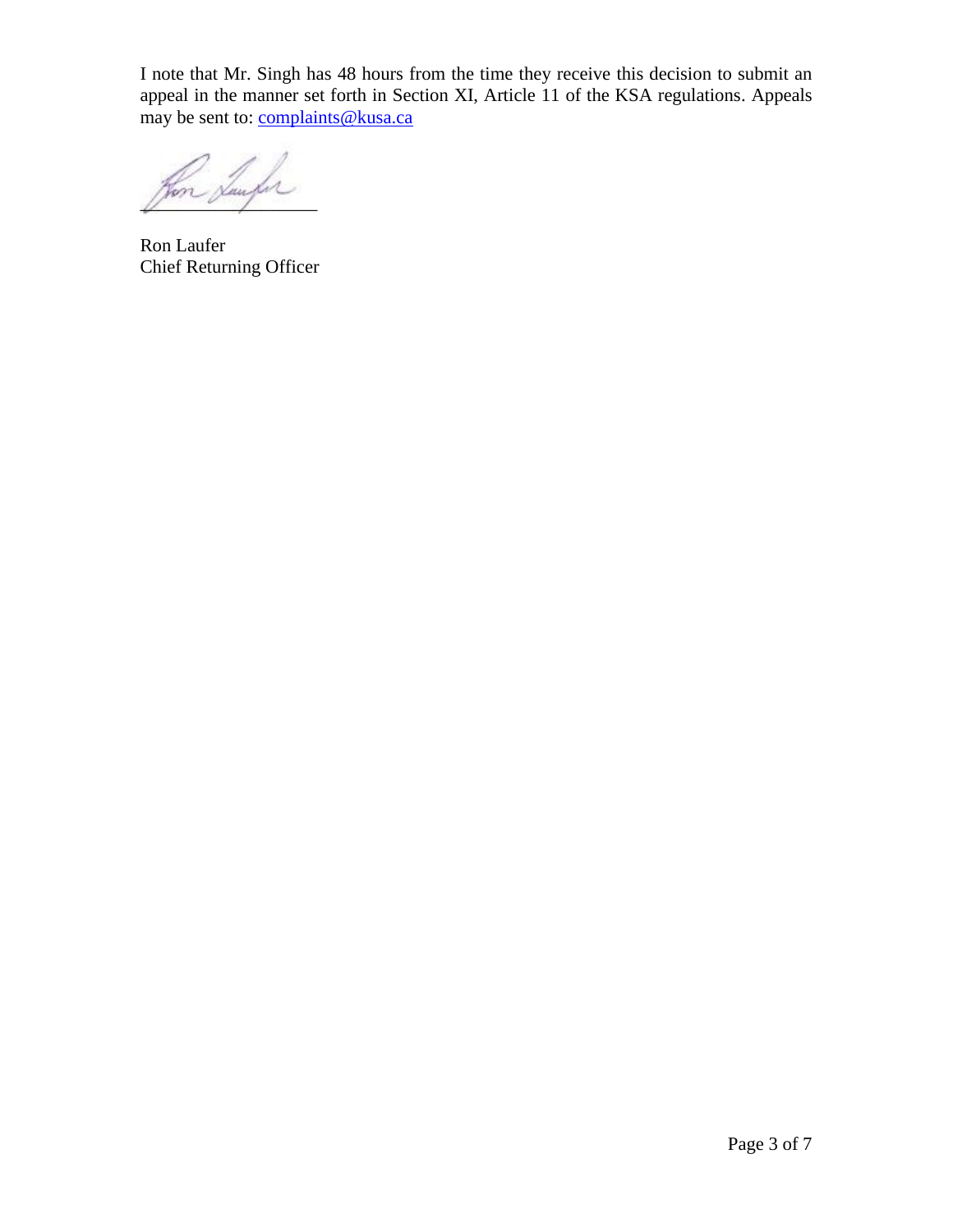I note that Mr. Singh has 48 hours from the time they receive this decision to submit an appeal in the manner set forth in Section XI, Article 11 of the KSA regulations. Appeals may be sent to: [complaints@kusa.ca](mailto:complaints@kusa.ca)

\_\_\_\_\_\_\_\_\_\_\_\_\_\_\_\_\_\_\_

Ron Laufer Chief Returning Officer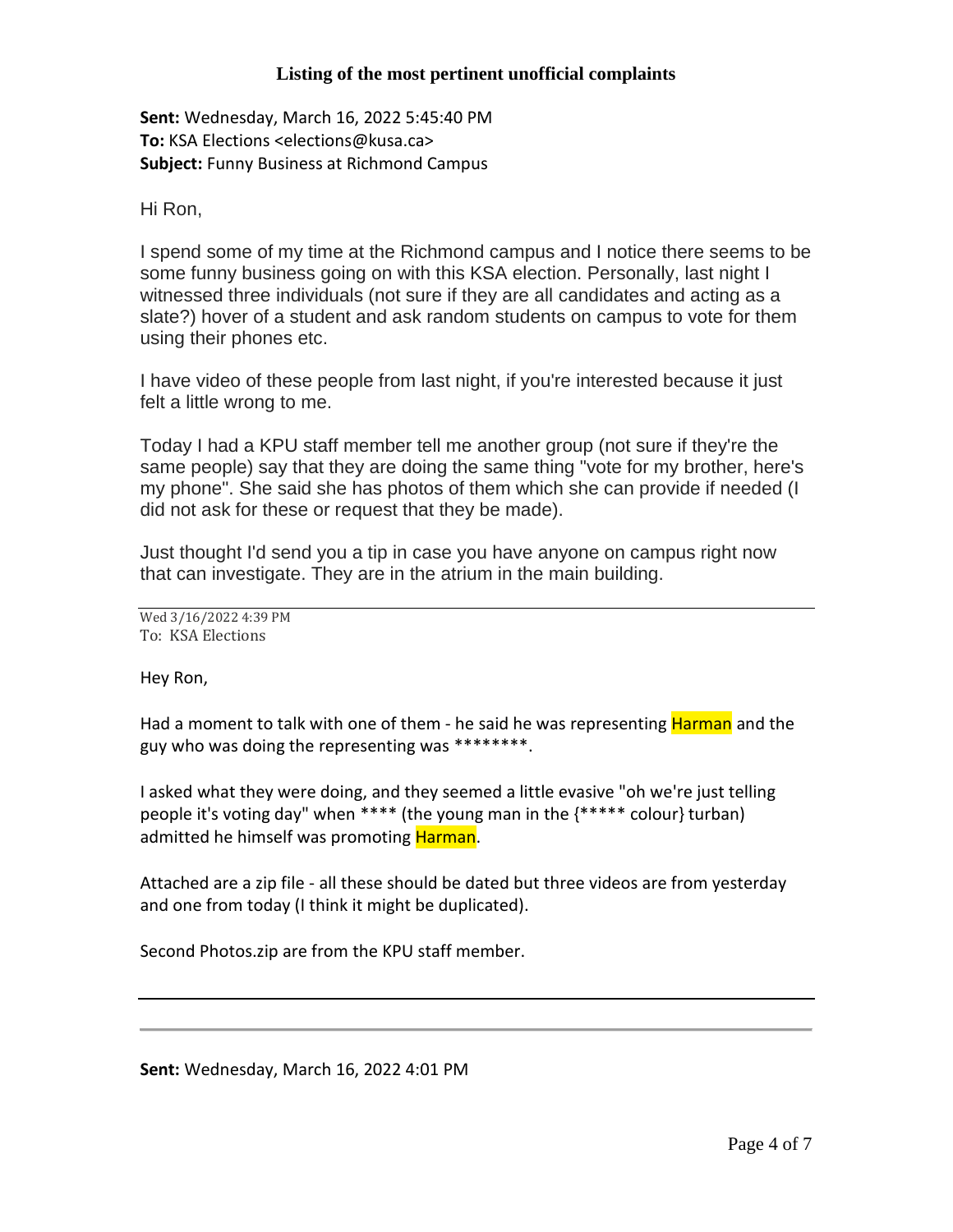## **Listing of the most pertinent unofficial complaints**

**Sent:** Wednesday, March 16, 2022 5:45:40 PM **To:** KSA Elections <elections@kusa.ca> **Subject:** Funny Business at Richmond Campus

Hi Ron,

I spend some of my time at the Richmond campus and I notice there seems to be some funny business going on with this KSA election. Personally, last night I witnessed three individuals (not sure if they are all candidates and acting as a slate?) hover of a student and ask random students on campus to vote for them using their phones etc.

I have video of these people from last night, if you're interested because it just felt a little wrong to me.

Today I had a KPU staff member tell me another group (not sure if they're the same people) say that they are doing the same thing "vote for my brother, here's my phone". She said she has photos of them which she can provide if needed (I did not ask for these or request that they be made).

Just thought I'd send you a tip in case you have anyone on campus right now that can investigate. They are in the atrium in the main building.

Wed 3/16/2022 4:39 PM To: KSA Elections

Hey Ron,

Had a moment to talk with one of them - he said he was representing Harman and the guy who was doing the representing was \*\*\*\*\*\*\*\*.

I asked what they were doing, and they seemed a little evasive "oh we're just telling people it's voting day" when \*\*\*\* (the young man in the {\*\*\*\*\* colour} turban) admitted he himself was promoting **Harman**.

Attached are a zip file - all these should be dated but three videos are from yesterday and one from today (I think it might be duplicated).

Second Photos.zip are from the KPU staff member.

**Sent:** Wednesday, March 16, 2022 4:01 PM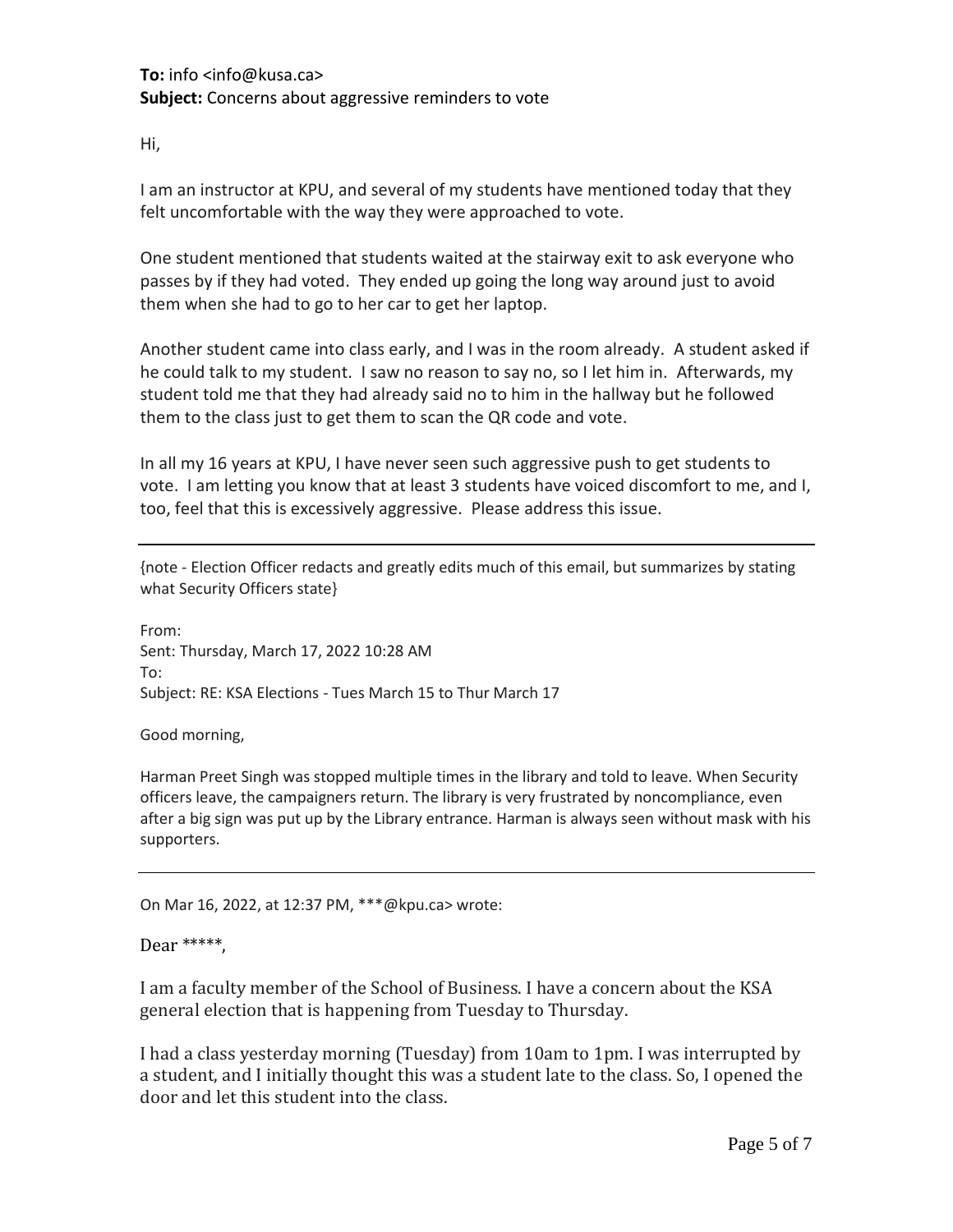## **To:** info <info@kusa.ca> **Subject:** Concerns about aggressive reminders to vote

Hi,

I am an instructor at KPU, and several of my students have mentioned today that they felt uncomfortable with the way they were approached to vote.

One student mentioned that students waited at the stairway exit to ask everyone who passes by if they had voted. They ended up going the long way around just to avoid them when she had to go to her car to get her laptop.

Another student came into class early, and I was in the room already. A student asked if he could talk to my student. I saw no reason to say no, so I let him in. Afterwards, my student told me that they had already said no to him in the hallway but he followed them to the class just to get them to scan the QR code and vote.

In all my 16 years at KPU, I have never seen such aggressive push to get students to vote. I am letting you know that at least 3 students have voiced discomfort to me, and I, too, feel that this is excessively aggressive. Please address this issue.

{note - Election Officer redacts and greatly edits much of this email, but summarizes by stating what Security Officers state}

From: Sent: Thursday, March 17, 2022 10:28 AM To: Subject: RE: KSA Elections - Tues March 15 to Thur March 17

Good morning,

Harman Preet Singh was stopped multiple times in the library and told to leave. When Security officers leave, the campaigners return. The library is very frustrated by noncompliance, even after a big sign was put up by the Library entrance. Harman is always seen without mask with his supporters.

On Mar 16, 2022, at 12:37 PM, \*\*\*@kpu.ca> wrote:

## Dear \*\*\*\*\*,

I am a faculty member of the School of Business. I have a concern about the KSA general election that is happening from Tuesday to Thursday.

I had a class yesterday morning (Tuesday) from 10am to 1pm. I was interrupted by a student, and I initially thought this was a student late to the class. So, I opened the door and let this student into the class.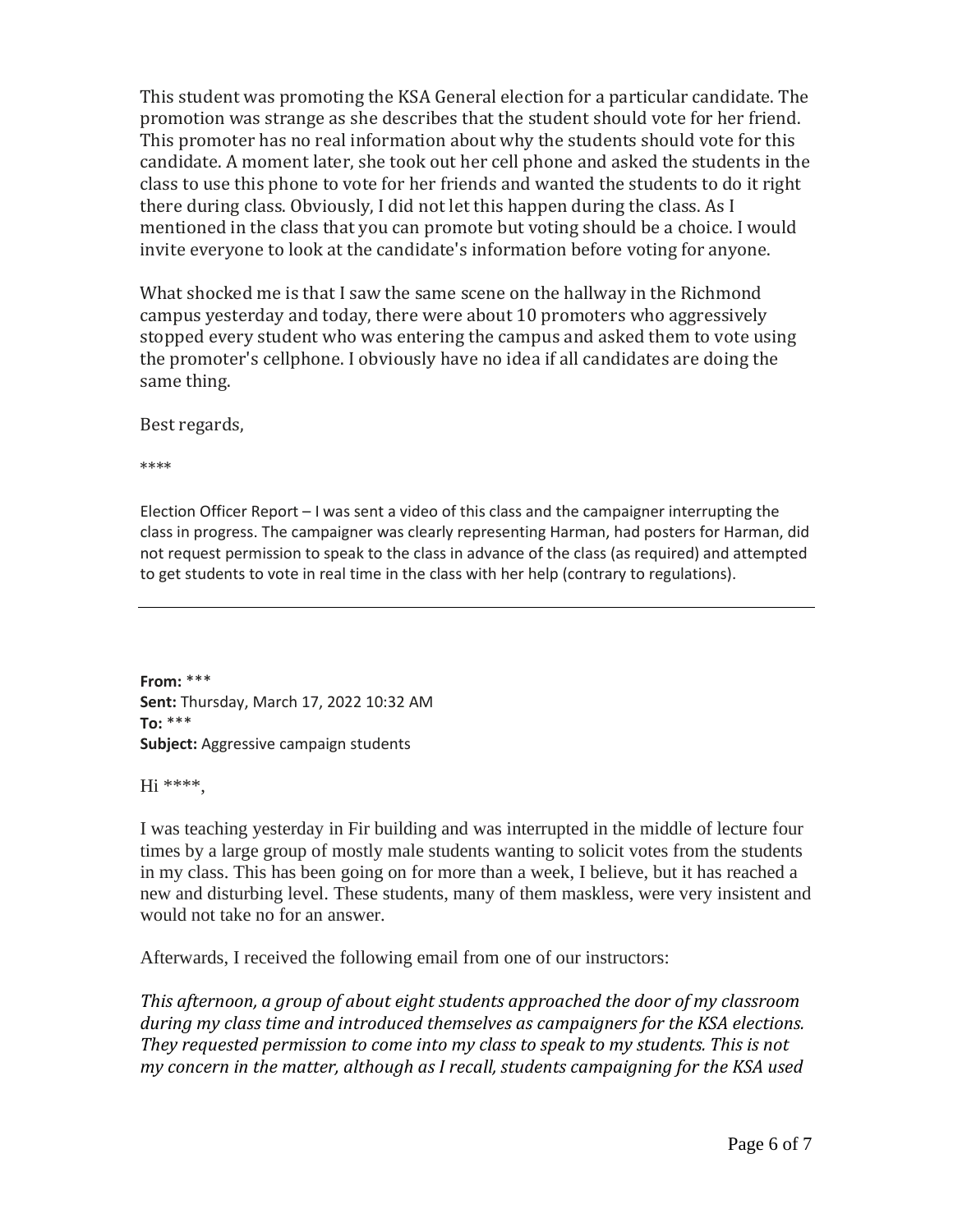This student was promoting the KSA General election for a particular candidate. The promotion was strange as she describes that the student should vote for her friend. This promoter has no real information about why the students should vote for this candidate. A moment later, she took out her cell phone and asked the students in the class to use this phone to vote for her friends and wanted the students to do it right there during class. Obviously, I did not let this happen during the class. As I mentioned in the class that you can promote but voting should be a choice. I would invite everyone to look at the candidate's information before voting for anyone.

What shocked me is that I saw the same scene on the hallway in the Richmond campus yesterday and today, there were about 10 promoters who aggressively stopped every student who was entering the campus and asked them to vote using the promoter's cellphone. I obviously have no idea if all candidates are doing the same thing.

Best regards,

\*\*\*\*

Election Officer Report – I was sent a video of this class and the campaigner interrupting the class in progress. The campaigner was clearly representing Harman, had posters for Harman, did not request permission to speak to the class in advance of the class (as required) and attempted to get students to vote in real time in the class with her help (contrary to regulations).

**From:** \*\*\* **Sent:** Thursday, March 17, 2022 10:32 AM **To:** \*\*\* **Subject:** Aggressive campaign students

Hi \*\*\*\*,

I was teaching yesterday in Fir building and was interrupted in the middle of lecture four times by a large group of mostly male students wanting to solicit votes from the students in my class. This has been going on for more than a week, I believe, but it has reached a new and disturbing level. These students, many of them maskless, were very insistent and would not take no for an answer.

Afterwards, I received the following email from one of our instructors:

*This afternoon, a group of about eight students approached the door of my classroom during my class time and introduced themselves as campaigners for the KSA elections. They requested permission to come into my class to speak to my students. This is not my concern in the matter, although as I recall, students campaigning for the KSA used*